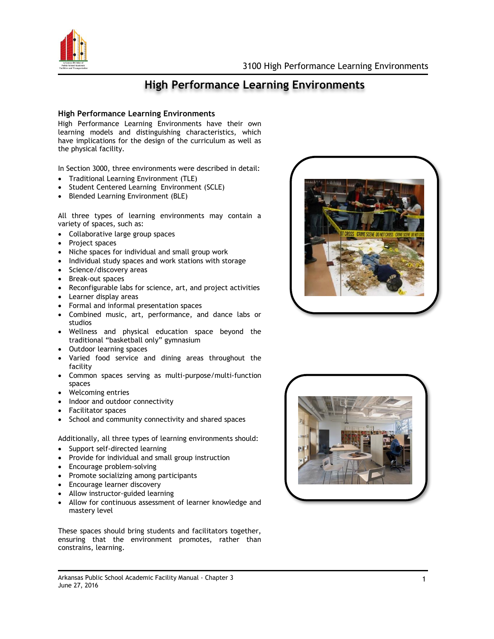



## **High Performance Learning Environments**

## **High Performance Learning Environments**

High Performance Learning Environments have their own learning models and distinguishing characteristics, which have implications for the design of the curriculum as well as the physical facility.

In Section 3000, three environments were described in detail:

- Traditional Learning Environment (TLE)
- Student Centered Learning Environment (SCLE)
- Blended Learning Environment (BLE)

All three types of learning environments may contain a variety of spaces, such as:

- Collaborative large group spaces
- Project spaces
- Niche spaces for individual and small group work
- Individual study spaces and work stations with storage
- Science/discovery areas
- Break-out spaces
- Reconfigurable labs for science, art, and project activities
- Learner display areas
- Formal and informal presentation spaces
- Combined music, art, performance, and dance labs or studios
- Wellness and physical education space beyond the traditional "basketball only" gymnasium
- Outdoor learning spaces
- Varied food service and dining areas throughout the facility
- Common spaces serving as multi-purpose/multi-function spaces
- Welcoming entries
- Indoor and outdoor connectivity
- Facilitator spaces
- School and community connectivity and shared spaces

Additionally, all three types of learning environments should:

- Support self-directed learning
- Provide for individual and small group instruction
- Encourage problem-solving
- Promote socializing among participants
- Encourage learner discovery
- Allow instructor-guided learning
- Allow for continuous assessment of learner knowledge and mastery level

These spaces should bring students and facilitators together, ensuring that the environment promotes, rather than constrains, learning.